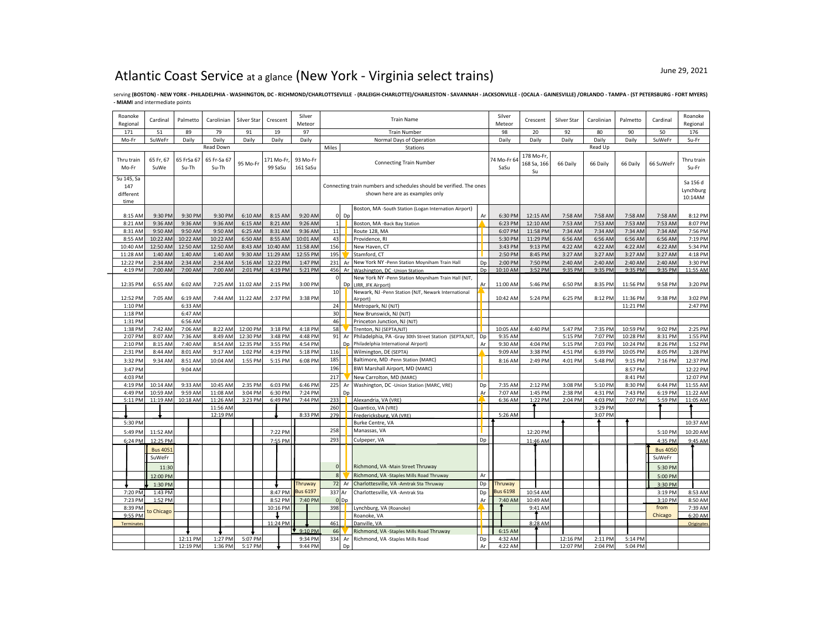## Atlantic Coast Service at a glance (New York - Virginia select trains)

Serving (BOSTON) - NEW YORK - PHILADELPHIA - WASHINGTON, DC - RICHMOND/CHARLOTTSEVILLE - (RALEIGH-CHARLOTTE)/CHARLESTON - SAVANNAH - JACKSONVILLE - (OCALA - GAINESVILLE) /ORLANDO - TAMPA - (ST PETERSBURG - FORT MYERS) **- MIAM**I and intermediate points

| Roanoke<br>Regional                    | Cardinal          | Palmetto            | Carolinian           | Silver Star | Crescent              | Silver<br>Meteor     |              |        | <b>Train Name</b>                                                                                      | Silver<br>Meteor | Crescent            | Silver Star                     | Carolinian | Palmetto | Cardinal | Roanoke<br>Regional |                                  |
|----------------------------------------|-------------------|---------------------|----------------------|-------------|-----------------------|----------------------|--------------|--------|--------------------------------------------------------------------------------------------------------|------------------|---------------------|---------------------------------|------------|----------|----------|---------------------|----------------------------------|
| 171                                    | 51                | 89                  | 79                   | 91          | 19                    | 97                   |              |        | <b>Train Number</b>                                                                                    |                  | 98                  | 20                              | 92         | 80       | 90       | 50                  | 176                              |
| Mo-Fr                                  | SuWeFr            | Daily               | Daily                | Daily       | Daily                 | Daily                |              |        | Normal Days of Operation                                                                               |                  | Daily               | Daily                           | Daily      | Daily    | Daily    | SuWeFr              | Su-Fr                            |
|                                        |                   |                     | Read Down            |             |                       |                      | Miles        |        | Stations                                                                                               |                  |                     |                                 |            | Read Up  |          |                     |                                  |
| Thru train<br>Mo-Fr                    | 65 Fr, 67<br>SuWe | 65 FrSa 67<br>Su-Th | 65 Fr-Sa 67<br>Su-Th | 95 Mo-Fr    | 171 Mo-Fr,<br>99 SaSu | 93 Mo-Fr<br>161 SaSu |              |        | <b>Connecting Train Number</b>                                                                         |                  | 74 Mo-Fr 64<br>SaSu | 178 Mo-Fr,<br>168 Sa, 166<br>Su | 66 Daily   | 66 Daily | 66 Daily | 66 SuWeFr           | Thru train<br>Su-Fr              |
| Su 145, Sa<br>147<br>different<br>time |                   |                     |                      |             |                       |                      |              |        | Connecting train numbers and schedules should be verified. The ones<br>shown here are as examples only |                  |                     |                                 |            |          |          |                     | Sa 156 d<br>Lynchburg<br>10:14AM |
| 8:15 AM                                | 9:30 PM           | 9:30 PM             | 9:30 PM              | 6:10 AM     | 8:15 AM               | 9:20 AM              |              | $0$ Dp | Boston, MA -South Station (Logan Internation Airport)                                                  | Ar               | 6:30 PM             | 12:15 AM                        | 7:58 AM    | 7:58 AM  | 7:58 AM  | 7:58 AM             | 8:12 PM                          |
| 8:21 AM                                | 9:36 AM           | 9:36 AM             | 9:36 AM              | 6:15 AM     | 8:21 AM               | 9:26 AM              | $\mathbf{1}$ |        | Boston, MA -Back Bay Station                                                                           |                  | 6:23 PM             | 12:10 AM                        | 7:53 AM    | 7:53 AM  | 7:53 AM  | 7:53 AM             | 8:07 PM                          |
| 8:31 AM                                | 9:50 AM           | 9:50 AM             | 9:50 AM              | 6:25 AM     | 8:31 AM               | 9:36 AM              | 11           |        | Route 128, MA                                                                                          |                  | 6:07 PM             | 11:58 PM                        | 7:34 AM    | 7:34 AM  | 7:34 AM  | 7:34 AM             | 7:56 PM                          |
| 8:55 AM                                | 10:22 AM          | 10:22 AM            | 10:22 AM             | 6:50 AM     | 8:55 AM               | 10:01 AM             | 43           |        | Providence, RI                                                                                         |                  | 5:30 PM             | 11:29 PM                        | 6:56 AM    | 6:56 AM  | 6:56 AM  | 6:56 AM             | 7:19 PM                          |
| 10:40 AM                               | 12:50 AM          | 12:50 AM            | 12:50 AM             | 8:43 AM     | 10:40 AM              | 11:58 AM             | 156          |        | New Haven, CT                                                                                          |                  | 3:43 PM             | 9:13 PM                         | 4:22 AM    | 4:22 AM  | 4:22 AM  | 4:22 AM             | 5:34 PM                          |
| 11:28 AM                               | 1:40 AM           | 1:40 AM             | 1:40 AM              | 9:30 AM     | 11:29 AM              | 12:55 PM             | 195          |        | Stamford, CT                                                                                           |                  | 2:50 PM             | 8:45 PM                         | 3:27 AM    | 3:27 AM  | 3:27 AM  | 3:27 AM             | 4:18 PM                          |
| 12:22 PM                               | 2:34 AM           | 2:34 AM             | 2:34 AM              | 5:16 AM     | 12:22 PM              | 1:47 PM              | 231          | Ar     | New York NY -Penn Station Moyniham Train Hall                                                          | Dp               | 2:00 PM             | 7:50 PM                         | 2:40 AM    | 2:40 AM  | 2:40 AM  | 2:40 AM             | 3:30 PM                          |
| 4:19 PM                                | 7:00 AM           | 7:00 AM             | 7:00 AM              | 2:01 PM     | 4:19 PM               | 5:21 PM              | 456          |        | Ar Washington, DC - Union Station                                                                      | Dp               | 10:10 AM            | 3:52 PM                         | 9:35 PM    | 9:35 PM  | 9:35 PM  | 9:35 PM             | 11:55 AM                         |
|                                        |                   |                     |                      |             |                       |                      |              |        | New York NY -Penn Station Moyniham Train Hall (NJT,                                                    |                  |                     |                                 |            |          |          |                     |                                  |
| 12:35 PM                               | 6:55 AM           | 6:02 AM             | 7:25 AM              | 11:02 AM    | 2:15 PM               | 3:00 PM              |              | Dp     | LIRR. JFK Airport)                                                                                     | Ar               | 11:00 AM            | 5:46 PM                         | 6:50 PM    | 8:35 PM  | 11:56 PM | 9:58 PM             | 3:20 PM                          |
|                                        |                   |                     |                      |             |                       |                      | 10           |        | Newark, NJ -Penn Station (NJT, Newark International                                                    |                  |                     |                                 |            |          |          |                     |                                  |
| 12:52 PM                               | 7:05 AM           | 6:19 AM             | 7:44 AM              | 11:22 AM    | 2:37 PM               | 3:38 PM              |              |        | Airport)                                                                                               |                  | 10:42 AM            | 5:24 PM                         | 6:25 PM    | 8:12 PM  | 11:36 PM | 9:38 PM             | 3:02 PM                          |
| 1:10 PM                                |                   | 6:33 AM             |                      |             |                       |                      | 24           |        | Metropark, NJ (NJT)                                                                                    |                  |                     |                                 |            |          | 11:21 PM |                     | 2:47 PM                          |
| 1:18 PM                                |                   | 6:47 AM             |                      |             |                       |                      | 30           |        | New Brunswick, NJ (NJT)                                                                                |                  |                     |                                 |            |          |          |                     |                                  |
| 1:31 PM                                |                   | 6:56 AM             |                      |             |                       |                      | 46           |        | Princeton Junction, NJ (NJT)                                                                           |                  |                     |                                 |            |          |          |                     |                                  |
| 1:38 PM                                | 7:42 AM           | 7:06 AM             | 8:22 AM              | 12:00 PM    | 3:18 PM               | 4:18 PM              | 58           |        | Trenton, NJ (SEPTA,NJT)                                                                                |                  | 10:05 AM            | 4:40 PM                         | 5:47 PM    | 7:35 PM  | 10:59 PM | 9:02 PM             | 2:25 PM                          |
| 2:07 PM                                | 8:07 AM           | 7:36 AM             | 8:49 AM              | 12:30 PM    | 3:48 PM               | 4:48 PM              | 91           | Ar     | Philadelphia, PA -Gray 30th Street Station (SEPTA,NJT,                                                 | Dp               | 9:35 AM             |                                 | 5:15 PM    | 7:07 PM  | 10:28 PM | 8:31 PM             | 1:55 PM                          |
| 2:10 PM                                | 8:15 AM           | 7:40 AM             | 8:54 AM              | 12:35 PM    | 3:55 PM               | 4:54 PM              |              | Dn     | Philadelphia International Airport)                                                                    | Ar               | 9:30 AM             | 4:04 PM                         | 5:15 PM    | 7:03 PM  | 10:24 PM | 8:26 PM             | 1:52 PM                          |
| 2:31 PM                                | 8:44 AM           | 8:01 AM             | 9:17 AM              | 1:02 PM     | 4:19 PM               | 5:18 PM              | 116          |        | Wilmington, DE (SEPTA)                                                                                 |                  | 9:09 AM             | 3:38 PM                         | 4:51 PM    | 6:39 PM  | 10:05 PM | 8:05 PM             | 1:28 PM                          |
| 3:32 PM                                | 9:34 AM           | 8:51 AM             | 10:04 AM             | 1:55 PM     | 5:15 PM               | 6:08 PM              | 185          |        | Baltimore, MD -Penn Station (MARC)                                                                     |                  | 8:16 AM             | 2:49 PM                         | 4:01 PM    | 5:48 PM  | 9:15 PM  | 7:16 PM             | 12:37 PM                         |
| 3:47 PM                                |                   | 9:04 AM             |                      |             |                       |                      | 196          |        | BWI Marshall Airport, MD (MARC)                                                                        |                  |                     |                                 |            |          | 8:57 PM  |                     | 12:22 PM                         |
| 4:03 PM                                |                   |                     |                      |             |                       |                      | 217          |        | New Carrolton, MD (MARC)                                                                               |                  |                     |                                 |            |          | 8:41 PM  |                     | 12:07 PM                         |
| 4:19 PM                                | 10:14 AM          | 9:33 AM             | 10:45 AM             | 2:35 PM     | 6:03 PM               | 6:46 PM              | 225          | Ar     | Washington, DC -Union Station (MARC, VRE)                                                              | Dp               | 7:35 AM             | 2:12 PM                         | 3:08 PM    | 5:10 PM  | 8:30 PM  | 6:44 PM             | 11:55 AM                         |
| 4:49 PM                                | 10:59 AM          | 9:59 AM             | 11:08 AM             | 3:04 PM     | 6:30 PM               | 7:24 PM              |              | Dp     |                                                                                                        | Ar               | 7:07 AM             | 1:45 PM                         | 2:38 PM    | 4:31 PM  | 7:43 PM  | 6:19 PM             | 11:22 AM                         |
| 5:11 PM                                | 11:19 AM          | 10:18 AM            | 11:26 AM             | 3:23 PM     | 6:49 PM               | 7:44 PM              | 233          |        | Alexandria, VA (VRE)                                                                                   |                  | 6:36 AM             | 1:22 PM                         | 2:04 PM    | 4:03 PM  | 7:07 PM  | 5:59 PM             | 11:05 AM                         |
|                                        |                   |                     | 11:56 AM             |             |                       |                      | 260          |        | Quantico, VA (VRE)                                                                                     |                  |                     |                                 |            | 3:29 PM  |          |                     |                                  |
|                                        |                   |                     | 12:19 PM             |             |                       | 8:33 PM              | 279          |        | Fredericksburg, VA (VRE)                                                                               |                  | 5:26 AM             |                                 |            | 3:07 PM  |          |                     |                                  |
| 5:30 PM                                |                   |                     |                      |             |                       |                      |              |        | Burke Centre, VA                                                                                       |                  |                     |                                 |            |          |          |                     | 10:37 AM                         |
| 5:49 PM                                | 11:52 AM          |                     |                      |             | 7:22 PM               |                      | 258          |        | Manassas, VA                                                                                           |                  |                     | 12:20 PM                        |            |          |          | 5:10 PM             | 10:20 AM                         |
| 6:24 PM                                | 12:25 PM          |                     |                      |             | 7:55 PM               |                      | 293          |        | Culpeper, VA                                                                                           | Dp               |                     | 11:46 AM                        |            |          |          | 4:35 PM             | 9:45 AM                          |
|                                        |                   |                     |                      |             |                       |                      |              |        |                                                                                                        |                  |                     |                                 |            |          |          |                     |                                  |
|                                        | <b>Bus 4051</b>   |                     |                      |             |                       |                      |              |        |                                                                                                        |                  |                     |                                 |            |          |          | <b>Bus 4050</b>     |                                  |
|                                        | SuWeFr            |                     |                      |             |                       |                      |              |        |                                                                                                        |                  |                     |                                 |            |          |          | SuWeFr              |                                  |
|                                        | 11:30             |                     |                      |             |                       |                      | $\Omega$     |        | Richmond, VA -Main Street Thruway                                                                      |                  |                     |                                 |            |          |          | 5:30 PM             |                                  |
|                                        | 12:00 PM          |                     |                      |             |                       |                      | $\mathbf{g}$ |        | Richmond, VA -Staples Mills Road Thruway                                                               | Ar               |                     |                                 |            |          |          | 5:00 PM             |                                  |
|                                        | 1:30 PM           |                     |                      |             |                       | Thruway              | 72           | Ar     | Charlottesville, VA - Amtrak Sta Thruway                                                               | Dp               | Thruway             |                                 |            |          |          | 3:30 PM             |                                  |
| 7:20 PM                                | 1:43 PM           |                     |                      |             | 8:47 PM               | <b>Bus 6197</b>      | 337 Ar       |        | Charlottesville, VA - Amtrak Sta                                                                       | Dp               | <b>Bus 6198</b>     | 10:54 AM                        |            |          |          | 3:19 PM             | 8:53 AM                          |
| 7:23 PM                                | 1:52 PM           |                     |                      |             | 8:52 PM               | 7:40 PM              | $\Omega$     | Dp     |                                                                                                        | Ar               | 7:40 AM             | 10:49 AM                        |            |          |          | 3:10 PM             | 8:50 AM                          |
| 8:39 PM                                |                   |                     |                      |             | 10:16 PM              |                      | 398          |        | Lynchburg, VA (Roanoke)                                                                                |                  |                     | 9:41 AM                         |            |          |          | from                | 7:39 AM                          |
| 9:55 PM                                | to Chicago        |                     |                      |             |                       |                      |              |        | Roanoke, VA                                                                                            |                  |                     |                                 |            |          |          | Chicago             | 6:20 AM                          |
| Terminates                             |                   |                     |                      |             | 11:24 PM              |                      | 461          |        | Danville, VA                                                                                           |                  |                     | 8:28 AM                         |            |          |          |                     | Originates                       |
|                                        |                   |                     |                      |             |                       | $9:10 \text{ PM}$    | 66           |        | Richmond, VA -Staples Mills Road Thruway                                                               |                  | 6:15 AM             |                                 |            |          |          |                     |                                  |
|                                        |                   | 12:11 PM            | 1:27 PM              | 5:07 PM     |                       | 9:34 PM              | 334          | Ar     | Richmond, VA -Staples Mills Road                                                                       | Dp               | 4:32 AM             |                                 | 12:16 PM   | 2:11 PM  | 5:14 PM  |                     |                                  |
|                                        |                   | 12:19 PM            | 1:36 PM              | 5:17 PM     |                       | 9:44 PM              |              | Dp     |                                                                                                        | Ar               | 4:22 AM             |                                 | 12:07 PM   | 2:04 PM  | 5:04 PM  |                     |                                  |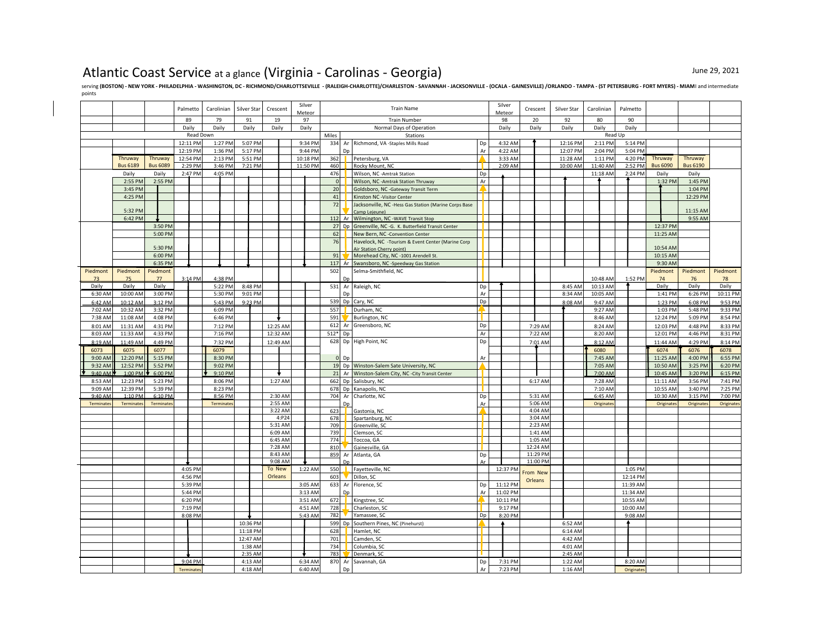## Atlantic Coast Service at a glance (Virginia - Carolinas - Georgia) June 29, 2021

Serving (BOSTON) - NEW YORK - PHILADELPHIA - WASHINGTON, DC - RICHMOND/CHARLOTTSEVILLE - (RALEIGH-CHARLOTTE)/CHARLESTON - SAVANNAH - JACKSONVILLE - (OCALA - GAINESVILLE) /ORLANDO - TAMPA - (ST PETERSBURG - FORT MYERS) - MI points

|                 |                  |                    | Palmetto             | Carolinian         | Silver Star        | Crescent           | Silver | Meteor             |            |    | <b>Train Name</b>                                                                  |          | Silver<br>Meteor   | Crescent             | Silver Star          | Carolinian         | Palmetto |                     |                     |                 |                 |
|-----------------|------------------|--------------------|----------------------|--------------------|--------------------|--------------------|--------|--------------------|------------|----|------------------------------------------------------------------------------------|----------|--------------------|----------------------|----------------------|--------------------|----------|---------------------|---------------------|-----------------|-----------------|
|                 |                  |                    | 89                   | 79                 | 91                 | 19                 |        | 97                 |            |    | <b>Train Number</b>                                                                |          | 98                 | 20                   | 92                   | 80                 |          | 90                  |                     |                 |                 |
|                 |                  |                    | Daily                | Daily              | Daily              | Daily              | Daily  |                    |            |    | Normal Days of Operation                                                           |          | Daily              | Daily                | Daily                | Daily              | Daily    |                     |                     |                 |                 |
|                 |                  |                    |                      | Read Down          |                    |                    |        |                    | Miles      |    | Stations                                                                           |          |                    |                      |                      |                    | Read Up  |                     |                     |                 |                 |
|                 |                  |                    | 12:11 PM<br>12:19 PM | 1:27 PM<br>1:36 PM | 5:07 PM<br>5:17 PM |                    |        | 9:34 PM<br>9:44 PM | 334        | Dn | Ar Richmond, VA -Staples Mills Road                                                | Dp<br>Ar | 4:32 AM<br>4:22 AM |                      | 12:16 PM<br>12:07 PM | 2:11 PM<br>2:04 PM |          | 5:14 PM<br>5:04 PM  |                     |                 |                 |
|                 | Thruway          | Thruway            | 12:54 PM             | 2:13 PM            | 5:51 PM            |                    |        | 10:18 PM           | 362        |    | Petersburg, VA                                                                     |          | 3:33 AM            |                      | 11:28 AM             | 1:11 PM            |          | 4:20 PM             | Thruway             | Thruway         |                 |
|                 | <b>Bus 6189</b>  | <b>Bus 6089</b>    | 2:29 PM              | 3:46 PM            | 7:21 PM            |                    |        | 11:50 PM           | 460        |    | Rocky Mount, NC                                                                    |          | 2:09 AM            |                      | 10:00 AM             | 11:40 AM           |          | 2:52 PM             | <b>Bus 6090</b>     | <b>Bus 6190</b> |                 |
|                 | Daily            | Daily              | 2:47 PM              | 4:05 PM            |                    |                    |        |                    | 476        |    | Wilson, NC - Amtrak Station                                                        | Dp       |                    |                      |                      | 11:18 AM           |          | 2:24 PM             | Daily               | Daily           |                 |
|                 | 2:55 PM          | 2:55 PM            |                      |                    |                    |                    |        |                    | $\circ$    |    | Wilson, NC - Amtrak Station Thruway                                                | Ar       |                    |                      |                      |                    |          |                     | 1:32 PM             | 1:45 PM         |                 |
|                 | 3:45 PM          |                    |                      |                    |                    |                    |        |                    | 20         |    | Goldsboro, NC - Gateway Transit Term                                               |          |                    |                      |                      |                    |          |                     |                     | 1:04 PM         |                 |
|                 | 4:25 PM          |                    |                      |                    |                    |                    |        |                    | 41         |    | Kinston NC -Visitor Center                                                         |          |                    |                      |                      |                    |          |                     |                     | 12:29 PM        |                 |
|                 | 5:32 PM          |                    |                      |                    |                    |                    |        |                    | 72         |    | Jacksonville, NC -Hess Gas Station (Marine Corps Base                              |          |                    |                      |                      |                    |          |                     |                     | 11:15 AM        |                 |
|                 | 6:42 PM          |                    |                      |                    |                    |                    |        |                    | 112        | Ar | Camp Leieune)<br>Wilmington, NC -WAVE Transit Stop                                 |          |                    |                      |                      |                    |          |                     |                     | 9:55 AM         |                 |
|                 |                  | 3:50 PM            |                      |                    |                    |                    |        |                    |            |    | 27 Dp Greenville, NC -G. K. Butterfield Transit Center                             |          |                    |                      |                      |                    |          |                     | 12:37 PM            |                 |                 |
|                 |                  | 5:00 PM            |                      |                    |                    |                    |        |                    | 62         |    | New Bern, NC -Convention Center                                                    |          |                    |                      |                      |                    |          |                     | 11:25 AM            |                 |                 |
|                 |                  |                    |                      |                    |                    |                    |        |                    | 76         |    | Havelock, NC -Tourism & Event Center (Marine Corp                                  |          |                    |                      |                      |                    |          |                     |                     |                 |                 |
|                 |                  | 5:30 PM            |                      |                    |                    |                    |        |                    |            |    | Air Station Cherry point)                                                          |          |                    |                      |                      |                    |          |                     | 10:54 AM            |                 |                 |
|                 |                  | 6:00 PM<br>6:35 PM |                      |                    |                    |                    |        |                    | 91         |    | Morehead City, NC -1001 Arendell St.<br>117 Ar Swansboro, NC -Speedway Gas Station |          |                    |                      |                      |                    |          |                     | 10:15 AM<br>9:30 AM |                 |                 |
| Piedmont        | Piedmont         | Piedmont           |                      |                    |                    |                    |        |                    | 502        |    | Selma-Smithfield, NC                                                               |          |                    |                      |                      |                    |          |                     | Piedmont            | Piedmont        | Piedmont        |
| 73              | 75               | 77                 | 3:14 PM              | 4:38 PM            |                    |                    |        |                    |            | Dr |                                                                                    |          |                    |                      |                      | 10:48 AM           |          | 1:52 PM             | 74                  | 76              | 78              |
| Daily           | Daily            | Daily              |                      | 5:22 PM            | 8:48 PM            |                    |        |                    | 531        |    | Ar Raleigh, NC                                                                     | Dp       |                    |                      | 8:45 AM              | 10:13 AM           |          |                     | Daily               | Daily           | Daily           |
| 6:30 AM         | 10:00 AM         | 3:00 PM            |                      | 5:30 PM            | 9:01 PM            |                    |        |                    |            | Dp |                                                                                    | Ar       |                    |                      | 8:34 AM              | 10:05 AM           |          |                     | 1:41 PM             | 6:26 PM         | 10:11 PM        |
| 6:42 AM         | 10:12 AM         | 3:12 PM            |                      | 5:43 PM            | 9:23 PM            |                    |        |                    |            |    | 539 Dp Cary, NC                                                                    | Dp       |                    |                      | 8:08 AM              | 9:47 AM            |          |                     | 1:23 PM             | 6:08 PM         | 9:53 PM         |
| 7:02 AM         | 10:32 AM         | 3:32 PM            |                      | 6:09 PM            |                    |                    |        |                    | 557        |    | Durham, NC                                                                         |          |                    |                      |                      | 9:27 AM            |          |                     | 1:03 PM             | 5:48 PM         | 9:33 PM         |
| 7:38 AM         | 11:08 AM         | 4:08 PM            |                      | 6:46 PM            |                    |                    |        |                    | 591        |    | Burlington, NC                                                                     |          |                    |                      |                      | 8:46 AM            |          |                     | 12:24 PM            | 5:09 PM         | 8:54 PM         |
| 8:01 AM         | 11:31 AM         | 4:31 PM            |                      | 7:12 PM            |                    | 12:25 AM           |        |                    | 612        |    | Ar Greensboro, NC                                                                  | Dp       |                    | 7:29 AM              |                      | 8:24 AM            |          |                     | 12:03 PM            | 4:48 PM         | 8:33 PM         |
| 8:03 AM         | 11:33 AM         | 4:33 PM            |                      | 7:16 PM            |                    | 12:32 AM           |        |                    | 512*       | Dp |                                                                                    | Ar       |                    | 7:22 AM              |                      | 8:20 AM            |          |                     | 12:01 PM            | 4:46 PM         | 8:31 PM         |
| 8:19 AM         | 11:49 AM         | 4:49 PM            |                      | 7:32 PM<br>6079    |                    | 12:49 AM           |        |                    |            |    | 628 Dp High Point, NC                                                              | Dp       |                    | 7:01 AM              |                      | 8:12 AM            |          |                     | 11:44 AM<br>6074    | 4:29 PM         | 8:14 PM         |
| 6073<br>9:00 AM | 6075<br>12:20 PM | 6077<br>5:15 PM    |                      | 8:30 PM            |                    |                    |        |                    | $\Omega$   | Dp |                                                                                    | Ar       |                    |                      |                      | 6080<br>7:45 AM    |          |                     | 11:25 AM            | 6076<br>4:00 PM | 6078<br>6:55 PM |
| 9:32 AM         | 12:52 PM         | 5:52 PM            |                      | 9:02 PM            |                    |                    |        |                    |            |    | 19 Dp Winston-Salem Sate University, NC                                            |          |                    |                      |                      | 7:05 AM            |          |                     | 10:50 AM            | 3:25 PM         | 6:20 PM         |
| $9:40$ AM       | $1:00$ PM        | 6:00 PM            |                      | 9:10 PM            |                    | ÷                  |        |                    |            |    | 21 Ar Winston-Salem City, NC - City Transit Center                                 |          |                    |                      |                      | 7:00 AM            |          |                     | 10:45 AM            | 3:20 PM         | 6:15 PM         |
| 8:53 AM         | 12:23 PM         | 5:23 PM            |                      | 8:06 PM            |                    | 1:27 AM            |        |                    | 662        |    | Dp Salisbury, NC                                                                   |          |                    | 6:17 AM              |                      | 7:28 AM            |          |                     | 11:11 AM            | 3:56 PM         | 7:41 PM         |
| 9:09 AM         | 12:39 PM         | 5:39 PM            |                      | 8:23 PM            |                    |                    |        |                    | 678        | Dp | Kanapolis, NC                                                                      |          |                    |                      |                      | 7:10 AM            |          |                     | 10:55 AM            | 3:40 PM         | 7:25 PM         |
| 9:40 AM         | 1:10 PN          | 6:10 PM            |                      | 8:56 PM            |                    | 2:30 AM            |        |                    | 704        | Ar | Charlotte, NC                                                                      | Dp       |                    | 5:31 AM              |                      | 6:45 AM            |          |                     | 10:30 AM            | 3:15 PM         | 7:00 PM         |
| Terminates      | Terminates       | Terminate:         |                      | Terminates         |                    | 2:55 AM<br>3:22 AM |        |                    | 623        | Dp | Gastonia, NC                                                                       | Ar       |                    | 5:06 AM<br>4:04 AM   |                      | Originates         |          |                     | Originates          | Originates      | Originates      |
|                 |                  |                    |                      |                    |                    | 4:P24              |        |                    | 678        |    | Spartanburg, NC                                                                    |          |                    | 3:04 AM              |                      |                    |          |                     |                     |                 |                 |
|                 |                  |                    |                      |                    |                    | 5:31 AM            |        |                    | 709        |    | Greenville, SC                                                                     |          |                    | 2:23 AM              |                      |                    |          |                     |                     |                 |                 |
|                 |                  |                    |                      |                    |                    | 6:09 AM            |        |                    | 739        |    | Clemson, SC                                                                        |          |                    | 1:41 AM              |                      |                    |          |                     |                     |                 |                 |
|                 |                  |                    |                      |                    |                    | 6:45 AM            |        |                    | 774        |    | Toccoa, GA                                                                         |          |                    | 1:05 AM              |                      |                    |          |                     |                     |                 |                 |
|                 |                  |                    |                      |                    |                    | 7:28 AM<br>8:43 AM |        |                    | 810<br>859 | Ar | Gainesville, GA<br>Atlanta, GA                                                     | Dp       |                    | 12:24 AM<br>11:29 PM |                      |                    |          |                     |                     |                 |                 |
|                 |                  |                    |                      |                    |                    | 9:08 AM            |        |                    |            |    |                                                                                    |          |                    | 11:00 PM             |                      |                    |          |                     |                     |                 |                 |
|                 |                  |                    | 4:05 PM              |                    |                    | To New             |        | 1:22 AM            | 550        |    | Fayetteville, NC                                                                   |          | 12:37 PM           | From New             |                      |                    |          | 1:05 PM             |                     |                 |                 |
|                 |                  |                    | 4:56 PM              |                    |                    | Orleans            |        |                    | 603        |    | Dillon, SC                                                                         |          |                    | Orleans              |                      |                    |          | 12:14 PM            |                     |                 |                 |
|                 |                  |                    | 5:39 PM              |                    |                    |                    |        | 3:05 AM            | 633        | Ar | Florence, SC                                                                       | Dp       | 11:12 PM           |                      |                      |                    |          | 11:39 AM            |                     |                 |                 |
|                 |                  |                    | 5:44 PM              |                    |                    |                    |        | 3:13 AM            |            | Dp |                                                                                    | Ar       | 11:02 PM           |                      |                      |                    |          | 11:34 AM            |                     |                 |                 |
|                 |                  |                    | 6:20 PM              |                    |                    |                    |        | 3:51 AM            | 672        |    | Kingstree, SC                                                                      |          | 10:11 PM           |                      |                      |                    |          | 10:55 AM            |                     |                 |                 |
|                 |                  |                    | 7:19 PM<br>8:08 PM   |                    |                    |                    |        | 4:51 AM<br>5:43 AM | 728<br>782 |    | Charleston, SC<br>Yamassee, SC                                                     | Dp       | 9:17 PM<br>8:20 PM |                      |                      |                    |          | 10:00 AM<br>9:08 AM |                     |                 |                 |
|                 |                  |                    |                      |                    | 10:36 PM           |                    |        |                    | 599        |    | Dp Southern Pines, NC (Pinehurst)                                                  |          |                    |                      | 6:52 AM              |                    |          |                     |                     |                 |                 |
|                 |                  |                    |                      |                    | 11:18 PM           |                    |        |                    | 628        |    | Hamlet, NC                                                                         |          |                    |                      | 6:14 AM              |                    |          |                     |                     |                 |                 |
|                 |                  |                    |                      |                    | 12:47 AM           |                    |        |                    | 701        |    | Camden, SC                                                                         |          |                    |                      | 4:42 AM              |                    |          |                     |                     |                 |                 |
|                 |                  |                    |                      |                    | 1:38 AM            |                    |        |                    | 734        |    | Columbia, SC                                                                       |          |                    |                      | 4:01 AM              |                    |          |                     |                     |                 |                 |
|                 |                  |                    |                      |                    | 2:35 AM            |                    |        |                    | 783        |    | Denmark, SC                                                                        |          |                    |                      | 2:45 AM              |                    |          |                     |                     |                 |                 |
|                 |                  |                    | 9:04 PM              |                    | 4:13 AM            |                    |        | 6:34 AM            | 870        |    | Ar Savannah, GA                                                                    | Dp       | 7:31 PM            |                      | 1:22 AM              |                    |          | 8:20 AM             |                     |                 |                 |
|                 |                  |                    | Terminates           |                    | 4:18 AM            |                    |        | 6:40 AM            |            | Dp |                                                                                    | Ar       | 7:23 PM            |                      | 1:16 AM              |                    |          | Originates          |                     |                 |                 |